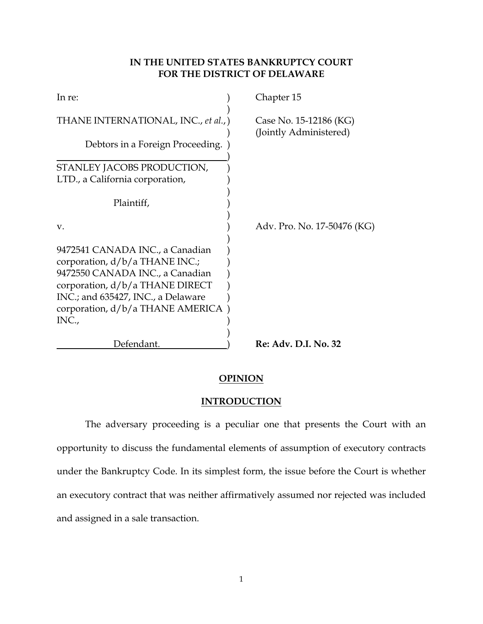# **IN THE UNITED STATES BANKRUPTCY COURT FOR THE DISTRICT OF DELAWARE**

| In re:                                                                                                                                                                                                                       | Chapter 15                                       |
|------------------------------------------------------------------------------------------------------------------------------------------------------------------------------------------------------------------------------|--------------------------------------------------|
| THANE INTERNATIONAL, INC., et al.,)                                                                                                                                                                                          | Case No. 15-12186 (KG)<br>(Jointly Administered) |
| Debtors in a Foreign Proceeding.                                                                                                                                                                                             |                                                  |
| STANLEY JACOBS PRODUCTION,                                                                                                                                                                                                   |                                                  |
| LTD., a California corporation,                                                                                                                                                                                              |                                                  |
| Plaintiff,                                                                                                                                                                                                                   |                                                  |
| V.                                                                                                                                                                                                                           | Adv. Pro. No. 17-50476 (KG)                      |
| 9472541 CANADA INC., a Canadian<br>corporation, d/b/a THANE INC.;<br>9472550 CANADA INC., a Canadian<br>corporation, $d/b/a$ THANE DIRECT<br>INC.; and 635427, INC., a Delaware<br>corporation, d/b/a THANE AMERICA<br>INC., |                                                  |
| Defendant.                                                                                                                                                                                                                   | Re: Adv. D.I. No. 32                             |

# **OPINION**

## **INTRODUCTION**

The adversary proceeding is a peculiar one that presents the Court with an opportunity to discuss the fundamental elements of assumption of executory contracts under the Bankruptcy Code. In its simplest form, the issue before the Court is whether an executory contract that was neither affirmatively assumed nor rejected was included and assigned in a sale transaction.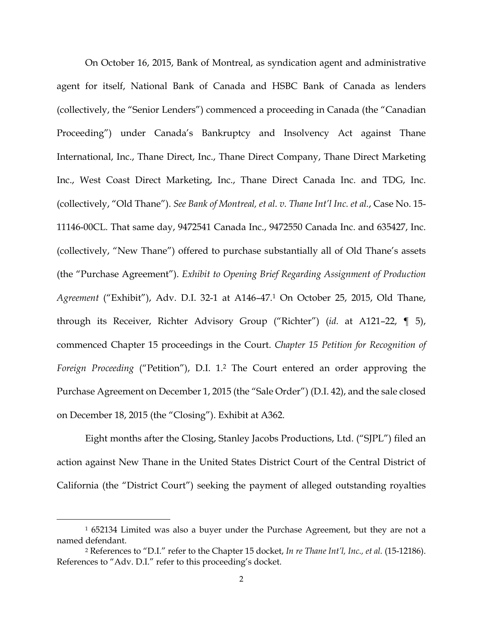On October 16, 2015, Bank of Montreal, as syndication agent and administrative agent for itself, National Bank of Canada and HSBC Bank of Canada as lenders (collectively, the "Senior Lenders") commenced a proceeding in Canada (the "Canadian Proceeding") under Canada's Bankruptcy and Insolvency Act against Thane International, Inc., Thane Direct, Inc., Thane Direct Company, Thane Direct Marketing Inc., West Coast Direct Marketing, Inc., Thane Direct Canada Inc. and TDG, Inc. (collectively, "Old Thane"). *See Bank of Montreal, et al. v. Thane Int'l Inc. et al.*, Case No. 15- 11146-00CL. That same day, 9472541 Canada Inc., 9472550 Canada Inc. and 635427, Inc. (collectively, "New Thane") offered to purchase substantially all of Old Thane's assets (the "Purchase Agreement"). *Exhibit to Opening Brief Regarding Assignment of Production Agreement* ("Exhibit"), Adv. D.I. 32-1 at A146–47.1 On October 25, 2015, Old Thane, through its Receiver, Richter Advisory Group ("Richter") (*id.* at A121–22, ¶ 5), commenced Chapter 15 proceedings in the Court. *Chapter 15 Petition for Recognition of Foreign Proceeding* ("Petition"), D.I. 1.2 The Court entered an order approving the Purchase Agreement on December 1, 2015 (the "Sale Order") (D.I. 42), and the sale closed on December 18, 2015 (the "Closing"). Exhibit at A362.

Eight months after the Closing, Stanley Jacobs Productions, Ltd. ("SJPL") filed an action against New Thane in the United States District Court of the Central District of California (the "District Court") seeking the payment of alleged outstanding royalties

 <sup>1 652134</sup> Limited was also a buyer under the Purchase Agreement, but they are not a named defendant.

<sup>2</sup> References to "D.I." refer to the Chapter 15 docket, *In re Thane Int'l, Inc., et al.* (15-12186). References to "Adv. D.I." refer to this proceeding's docket.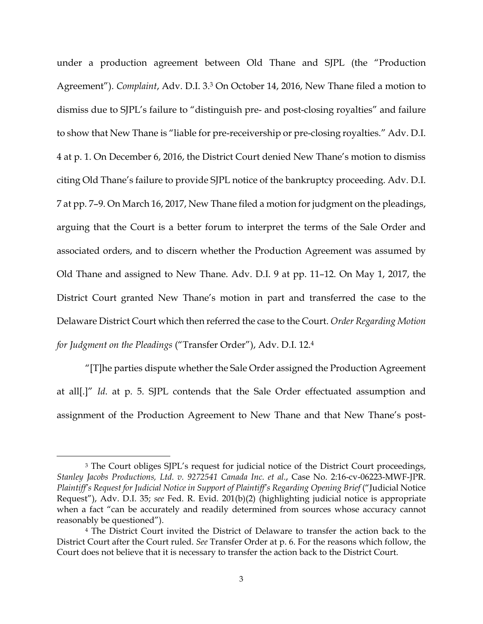under a production agreement between Old Thane and SJPL (the "Production Agreement"). *Complaint*, Adv. D.I. 3.3 On October 14, 2016, New Thane filed a motion to dismiss due to SJPL's failure to "distinguish pre- and post-closing royalties" and failure to show that New Thane is "liable for pre-receivership or pre-closing royalties." Adv. D.I. 4 at p. 1. On December 6, 2016, the District Court denied New Thane's motion to dismiss citing Old Thane's failure to provide SJPL notice of the bankruptcy proceeding. Adv. D.I. 7 at pp. 7–9. On March 16, 2017, New Thane filed a motion for judgment on the pleadings, arguing that the Court is a better forum to interpret the terms of the Sale Order and associated orders, and to discern whether the Production Agreement was assumed by Old Thane and assigned to New Thane. Adv. D.I. 9 at pp. 11–12. On May 1, 2017, the District Court granted New Thane's motion in part and transferred the case to the Delaware District Court which then referred the case to the Court. *Order Regarding Motion for Judgment on the Pleadings* ("Transfer Order"), Adv. D.I. 12.4

"[T]he parties dispute whether the Sale Order assigned the Production Agreement at all[.]" *Id*. at p. 5. SJPL contends that the Sale Order effectuated assumption and assignment of the Production Agreement to New Thane and that New Thane's post-

<sup>&</sup>lt;sup>3</sup> The Court obliges SJPL's request for judicial notice of the District Court proceedings, *Stanley Jacobs Productions, Ltd. v. 9272541 Canada Inc. et al.*, Case No. 2:16-cv-06223-MWF-JPR. *Plaintiff's Request for Judicial Notice in Support of Plaintiff's Regarding Opening Brief ("Judicial Notice* Request"), Adv. D.I. 35; *see* Fed. R. Evid. 201(b)(2) (highlighting judicial notice is appropriate when a fact "can be accurately and readily determined from sources whose accuracy cannot reasonably be questioned").

<sup>4</sup> The District Court invited the District of Delaware to transfer the action back to the District Court after the Court ruled. *See* Transfer Order at p. 6. For the reasons which follow, the Court does not believe that it is necessary to transfer the action back to the District Court.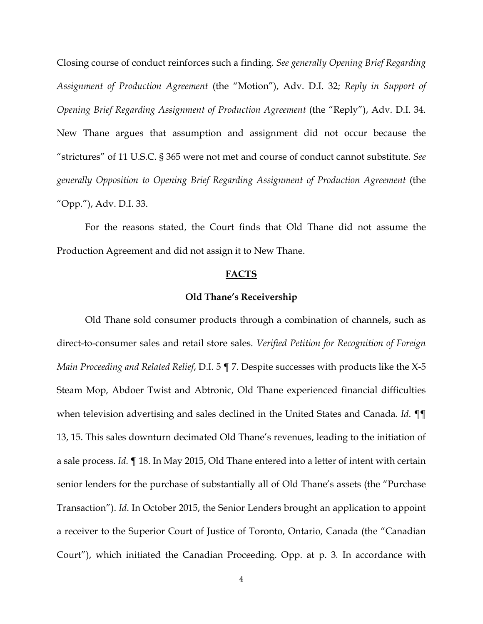Closing course of conduct reinforces such a finding. *See generally Opening Brief Regarding Assignment of Production Agreement* (the "Motion"), Adv. D.I. 32; *Reply in Support of Opening Brief Regarding Assignment of Production Agreement* (the "Reply"), Adv. D.I. 34. New Thane argues that assumption and assignment did not occur because the "strictures" of 11 U.S.C. § 365 were not met and course of conduct cannot substitute. *See generally Opposition to Opening Brief Regarding Assignment of Production Agreement* (the "Opp."), Adv. D.I. 33.

For the reasons stated, the Court finds that Old Thane did not assume the Production Agreement and did not assign it to New Thane.

### **FACTS**

#### **Old Thane's Receivership**

Old Thane sold consumer products through a combination of channels, such as direct-to-consumer sales and retail store sales. *Verified Petition for Recognition of Foreign Main Proceeding and Related Relief*, D.I. 5 ¶ 7. Despite successes with products like the X-5 Steam Mop, Abdoer Twist and Abtronic, Old Thane experienced financial difficulties when television advertising and sales declined in the United States and Canada. *Id*. ¶¶ 13, 15. This sales downturn decimated Old Thane's revenues, leading to the initiation of a sale process. *Id*. ¶ 18. In May 2015, Old Thane entered into a letter of intent with certain senior lenders for the purchase of substantially all of Old Thane's assets (the "Purchase Transaction"). *Id*. In October 2015, the Senior Lenders brought an application to appoint a receiver to the Superior Court of Justice of Toronto, Ontario, Canada (the "Canadian Court"), which initiated the Canadian Proceeding. Opp. at p. 3*.* In accordance with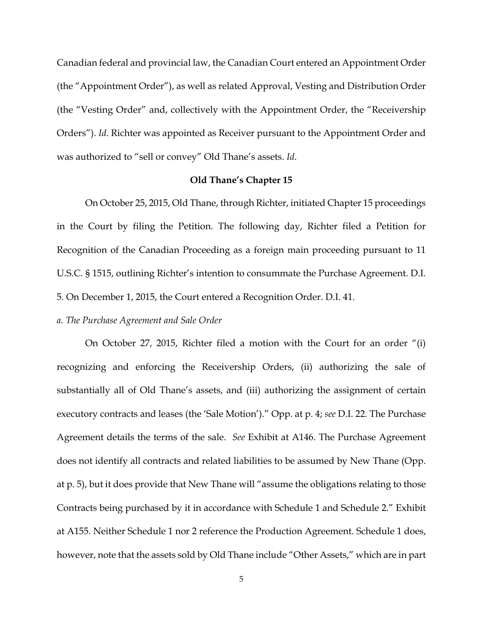Canadian federal and provincial law, the Canadian Court entered an Appointment Order (the "Appointment Order"), as well as related Approval, Vesting and Distribution Order (the "Vesting Order" and, collectively with the Appointment Order, the "Receivership Orders"). *Id*. Richter was appointed as Receiver pursuant to the Appointment Order and was authorized to "sell or convey" Old Thane's assets. *Id*.

### **Old Thane's Chapter 15**

On October 25, 2015, Old Thane, through Richter, initiated Chapter 15 proceedings in the Court by filing the Petition. The following day, Richter filed a Petition for Recognition of the Canadian Proceeding as a foreign main proceeding pursuant to 11 U.S.C. § 1515, outlining Richter's intention to consummate the Purchase Agreement. D.I. 5. On December 1, 2015, the Court entered a Recognition Order. D.I. 41.

### *a. The Purchase Agreement and Sale Order*

 On October 27, 2015, Richter filed a motion with the Court for an order "(i) recognizing and enforcing the Receivership Orders, (ii) authorizing the sale of substantially all of Old Thane's assets, and (iii) authorizing the assignment of certain executory contracts and leases (the 'Sale Motion')." Opp. at p. 4; *see* D.I. 22. The Purchase Agreement details the terms of the sale. *See* Exhibit at A146. The Purchase Agreement does not identify all contracts and related liabilities to be assumed by New Thane (Opp. at p. 5), but it does provide that New Thane will "assume the obligations relating to those Contracts being purchased by it in accordance with Schedule 1 and Schedule 2." Exhibit at A155. Neither Schedule 1 nor 2 reference the Production Agreement. Schedule 1 does, however, note that the assets sold by Old Thane include "Other Assets," which are in part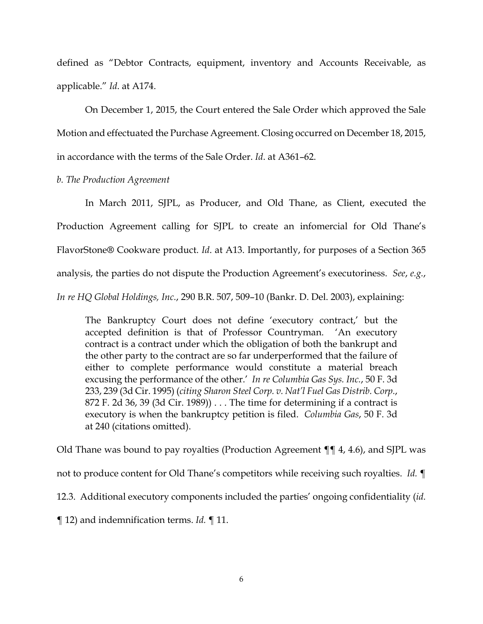defined as "Debtor Contracts, equipment, inventory and Accounts Receivable, as applicable." *Id*. at A174.

On December 1, 2015, the Court entered the Sale Order which approved the Sale Motion and effectuated the Purchase Agreement. Closing occurred on December 18, 2015, in accordance with the terms of the Sale Order. *Id*. at A361–62.

*b. The Production Agreement* 

In March 2011, SJPL, as Producer, and Old Thane, as Client, executed the Production Agreement calling for SJPL to create an infomercial for Old Thane's FlavorStone**®** Cookware product. *Id*. at A13. Importantly, for purposes of a Section 365 analysis, the parties do not dispute the Production Agreement's executoriness. *See*, *e.g.*, *In re HQ Global Holdings, Inc.*, 290 B.R. 507, 509–10 (Bankr. D. Del. 2003), explaining:

The Bankruptcy Court does not define 'executory contract,' but the accepted definition is that of Professor Countryman. 'An executory contract is a contract under which the obligation of both the bankrupt and the other party to the contract are so far underperformed that the failure of either to complete performance would constitute a material breach excusing the performance of the other.' *In re Columbia Gas Sys. Inc.*, 50 F. 3d 233, 239 (3d Cir. 1995) (*citing Sharon Steel Corp. v. Nat'l Fuel Gas Distrib. Corp.*, 872 F. 2d 36, 39 (3d Cir. 1989)) . . . The time for determining if a contract is executory is when the bankruptcy petition is filed. *Columbia Gas*, 50 F. 3d at 240 (citations omitted).

Old Thane was bound to pay royalties (Production Agreement ¶¶ 4, 4.6), and SJPL was

not to produce content for Old Thane's competitors while receiving such royalties. *Id.* ¶

12.3. Additional executory components included the parties' ongoing confidentiality (*id.*

¶ 12) and indemnification terms. *Id.* ¶ 11.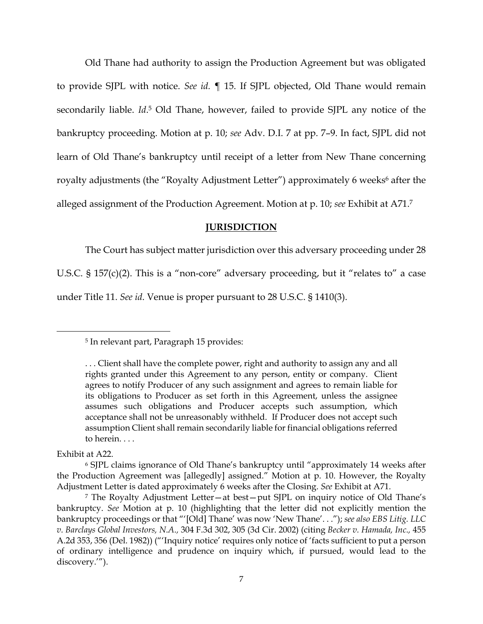Old Thane had authority to assign the Production Agreement but was obligated to provide SJPL with notice. *See id.* ¶ 15. If SJPL objected, Old Thane would remain secondarily liable. *Id*. 5 Old Thane, however, failed to provide SJPL any notice of the bankruptcy proceeding. Motion at p. 10; *see* Adv. D.I. 7 at pp. 7–9. In fact, SJPL did not learn of Old Thane's bankruptcy until receipt of a letter from New Thane concerning royalty adjustments (the "Royalty Adjustment Letter") approximately 6 weeks<sup>6</sup> after the alleged assignment of the Production Agreement. Motion at p. 10; *see* Exhibit at A71.7

### **JURISDICTION**

The Court has subject matter jurisdiction over this adversary proceeding under 28

U.S.C. § 157(c)(2). This is a "non-core" adversary proceeding, but it "relates to" a case under Title 11. *See id*. Venue is proper pursuant to 28 U.S.C. § 1410(3).

Exhibit at A22.

 <sup>5</sup> In relevant part, Paragraph 15 provides:

<sup>. . .</sup> Client shall have the complete power, right and authority to assign any and all rights granted under this Agreement to any person, entity or company. Client agrees to notify Producer of any such assignment and agrees to remain liable for its obligations to Producer as set forth in this Agreement, unless the assignee assumes such obligations and Producer accepts such assumption, which acceptance shall not be unreasonably withheld. If Producer does not accept such assumption Client shall remain secondarily liable for financial obligations referred to herein. . . .

<sup>6</sup> SJPL claims ignorance of Old Thane's bankruptcy until "approximately 14 weeks after the Production Agreement was [allegedly] assigned." Motion at p. 10. However, the Royalty Adjustment Letter is dated approximately 6 weeks after the Closing. *See* Exhibit at A71.

<sup>7</sup> The Royalty Adjustment Letter—at best—put SJPL on inquiry notice of Old Thane's bankruptcy. *See* Motion at p. 10 (highlighting that the letter did not explicitly mention the bankruptcy proceedings or that "'[Old] Thane' was now 'New Thane'. . ."); *see also EBS Litig. LLC v. Barclays Global Investors, N.A.,* 304 F.3d 302, 305 (3d Cir. 2002) (citing *Becker v. Hamada, Inc.,* 455 A.2d 353, 356 (Del. 1982)) ("'Inquiry notice' requires only notice of 'facts sufficient to put a person of ordinary intelligence and prudence on inquiry which, if pursued, would lead to the discovery.'").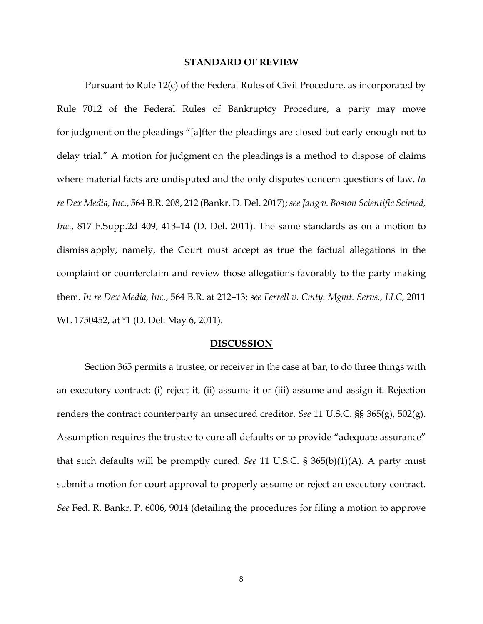#### **STANDARD OF REVIEW**

Pursuant to Rule 12(c) of the Federal Rules of Civil Procedure, as incorporated by Rule 7012 of the Federal Rules of Bankruptcy Procedure, a party may move for judgment on the pleadings "[a]fter the pleadings are closed but early enough not to delay trial." A motion for judgment on the pleadings is a method to dispose of claims where material facts are undisputed and the only disputes concern questions of law. *In re Dex Media, Inc.*, 564 B.R. 208, 212 (Bankr. D. Del. 2017); *see Jang v. Boston Scientific Scimed, Inc.*, 817 F.Supp.2d 409, 413–14 (D. Del. 2011). The same standards as on a motion to dismiss apply, namely, the Court must accept as true the factual allegations in the complaint or counterclaim and review those allegations favorably to the party making them. *In re Dex Media, Inc.*, 564 B.R. at 212–13; *see Ferrell v. Cmty. Mgmt. Servs., LLC*, 2011 WL 1750452, at \*1 (D. Del. May 6, 2011).

#### **DISCUSSION**

Section 365 permits a trustee, or receiver in the case at bar, to do three things with an executory contract: (i) reject it, (ii) assume it or (iii) assume and assign it. Rejection renders the contract counterparty an unsecured creditor. *See* 11 U.S.C. §§ 365(g), 502(g). Assumption requires the trustee to cure all defaults or to provide "adequate assurance" that such defaults will be promptly cured. *See* 11 U.S.C. § 365(b)(1)(A). A party must submit a motion for court approval to properly assume or reject an executory contract. *See* Fed. R. Bankr. P. 6006, 9014 (detailing the procedures for filing a motion to approve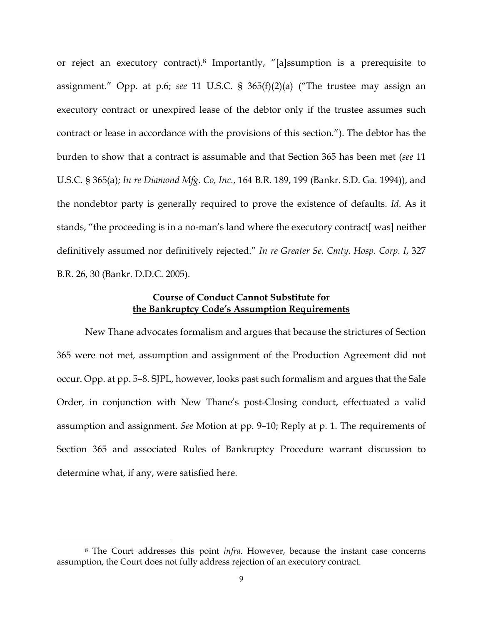or reject an executory contract).8 Importantly, "[a]ssumption is a prerequisite to assignment." Opp. at p.6; *see* 11 U.S.C. § 365(f)(2)(a) ("The trustee may assign an executory contract or unexpired lease of the debtor only if the trustee assumes such contract or lease in accordance with the provisions of this section."). The debtor has the burden to show that a contract is assumable and that Section 365 has been met (*see* 11 U.S.C. § 365(a); *In re Diamond Mfg. Co, Inc.*, 164 B.R. 189, 199 (Bankr. S.D. Ga. 1994)), and the nondebtor party is generally required to prove the existence of defaults. *Id*. As it stands, "the proceeding is in a no-man's land where the executory contract[ was] neither definitively assumed nor definitively rejected." *In re Greater Se. Cmty. Hosp. Corp. I*, 327 B.R. 26, 30 (Bankr. D.D.C. 2005).

## **Course of Conduct Cannot Substitute for the Bankruptcy Code's Assumption Requirements**

 New Thane advocates formalism and argues that because the strictures of Section 365 were not met, assumption and assignment of the Production Agreement did not occur. Opp. at pp. 5–8. SJPL, however, looks past such formalism and argues that the Sale Order, in conjunction with New Thane's post-Closing conduct, effectuated a valid assumption and assignment. *See* Motion at pp. 9–10; Reply at p. 1. The requirements of Section 365 and associated Rules of Bankruptcy Procedure warrant discussion to determine what, if any, were satisfied here.

 <sup>8</sup> The Court addresses this point *infra*. However, because the instant case concerns assumption, the Court does not fully address rejection of an executory contract.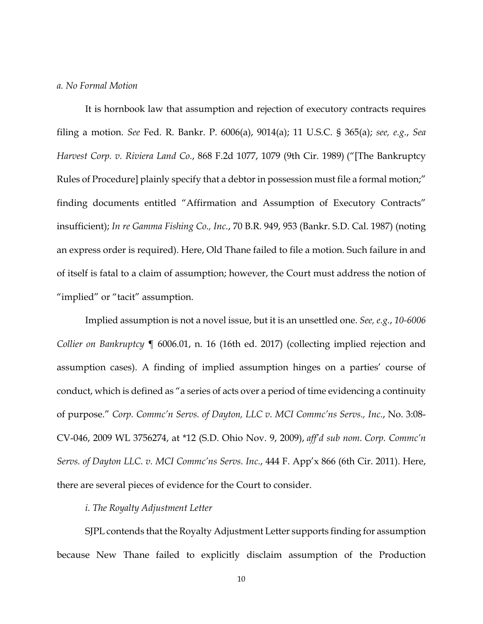#### *a. No Formal Motion*

It is hornbook law that assumption and rejection of executory contracts requires filing a motion. *See* Fed. R. Bankr. P. 6006(a), 9014(a); 11 U.S.C. § 365(a); *see, e.g.*, *Sea Harvest Corp. v. Riviera Land Co.*, 868 F.2d 1077, 1079 (9th Cir. 1989) ("[The Bankruptcy Rules of Procedure] plainly specify that a debtor in possession must file a formal motion;" finding documents entitled "Affirmation and Assumption of Executory Contracts" insufficient); *In re Gamma Fishing Co., Inc.*, 70 B.R. 949, 953 (Bankr. S.D. Cal. 1987) (noting an express order is required). Here, Old Thane failed to file a motion. Such failure in and of itself is fatal to a claim of assumption; however, the Court must address the notion of "implied" or "tacit" assumption.

Implied assumption is not a novel issue, but it is an unsettled one. *See, e.g.*, *10-6006 Collier on Bankruptcy* ¶ 6006.01, n. 16 (16th ed. 2017) (collecting implied rejection and assumption cases). A finding of implied assumption hinges on a parties' course of conduct, which is defined as "a series of acts over a period of time evidencing a continuity of purpose." *Corp. Commc'n Servs. of Dayton, LLC v. MCI Commc'ns Servs., Inc.*, No. 3:08- CV-046, 2009 WL 3756274, at \*12 (S.D. Ohio Nov. 9, 2009), *aff'd sub nom. Corp. Commc'n Servs. of Dayton LLC. v. MCI Commc'ns Servs. Inc.*, 444 F. App'x 866 (6th Cir. 2011). Here, there are several pieces of evidence for the Court to consider.

#### *i. The Royalty Adjustment Letter*

SJPL contends that the Royalty Adjustment Letter supports finding for assumption because New Thane failed to explicitly disclaim assumption of the Production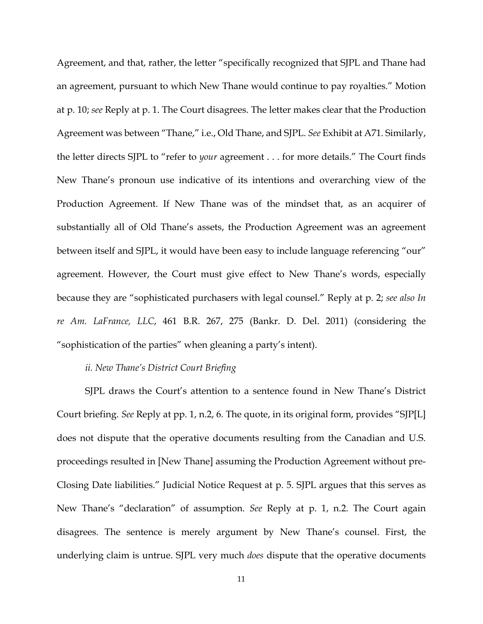Agreement, and that, rather, the letter "specifically recognized that SJPL and Thane had an agreement, pursuant to which New Thane would continue to pay royalties." Motion at p. 10; *see* Reply at p. 1. The Court disagrees. The letter makes clear that the Production Agreement was between "Thane," i.e., Old Thane, and SJPL. *See* Exhibit at A71. Similarly, the letter directs SJPL to "refer to *your* agreement . . . for more details." The Court finds New Thane's pronoun use indicative of its intentions and overarching view of the Production Agreement. If New Thane was of the mindset that, as an acquirer of substantially all of Old Thane's assets, the Production Agreement was an agreement between itself and SJPL, it would have been easy to include language referencing "our" agreement. However, the Court must give effect to New Thane's words, especially because they are "sophisticated purchasers with legal counsel." Reply at p. 2; *see also In re Am. LaFrance, LLC*, 461 B.R. 267, 275 (Bankr. D. Del. 2011) (considering the "sophistication of the parties" when gleaning a party's intent).

## *ii. New Thane's District Court Briefing*

SJPL draws the Court's attention to a sentence found in New Thane's District Court briefing. *See* Reply at pp. 1, n.2, 6. The quote, in its original form, provides "SJP[L] does not dispute that the operative documents resulting from the Canadian and U.S. proceedings resulted in [New Thane] assuming the Production Agreement without pre-Closing Date liabilities." Judicial Notice Request at p. 5. SJPL argues that this serves as New Thane's "declaration" of assumption. *See* Reply at p. 1, n.2. The Court again disagrees. The sentence is merely argument by New Thane's counsel. First, the underlying claim is untrue. SJPL very much *does* dispute that the operative documents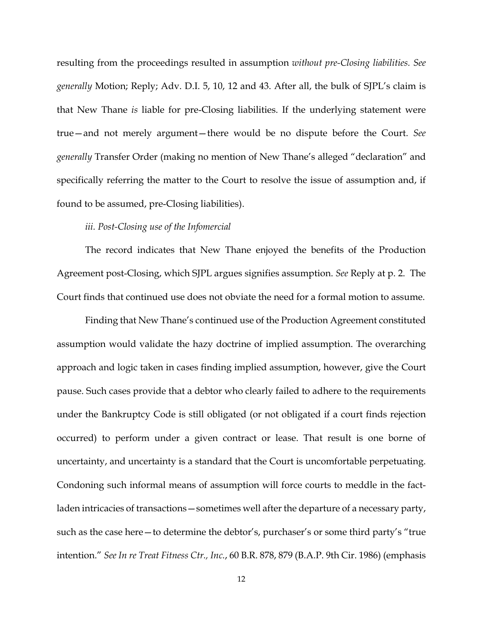resulting from the proceedings resulted in assumption *without pre-Closing liabilities. See generally* Motion; Reply; Adv. D.I. 5, 10, 12 and 43. After all, the bulk of SJPL's claim is that New Thane *is* liable for pre-Closing liabilities. If the underlying statement were true—and not merely argument—there would be no dispute before the Court. *See generally* Transfer Order (making no mention of New Thane's alleged "declaration" and specifically referring the matter to the Court to resolve the issue of assumption and, if found to be assumed, pre-Closing liabilities).

### *iii. Post-Closing use of the Infomercial*

The record indicates that New Thane enjoyed the benefits of the Production Agreement post-Closing, which SJPL argues signifies assumption. *See* Reply at p. 2. The Court finds that continued use does not obviate the need for a formal motion to assume.

Finding that New Thane's continued use of the Production Agreement constituted assumption would validate the hazy doctrine of implied assumption. The overarching approach and logic taken in cases finding implied assumption, however, give the Court pause. Such cases provide that a debtor who clearly failed to adhere to the requirements under the Bankruptcy Code is still obligated (or not obligated if a court finds rejection occurred) to perform under a given contract or lease. That result is one borne of uncertainty, and uncertainty is a standard that the Court is uncomfortable perpetuating. Condoning such informal means of assumption will force courts to meddle in the factladen intricacies of transactions — sometimes well after the departure of a necessary party, such as the case here—to determine the debtor's, purchaser's or some third party's "true intention." *See In re Treat Fitness Ctr., Inc.*, 60 B.R. 878, 879 (B.A.P. 9th Cir. 1986) (emphasis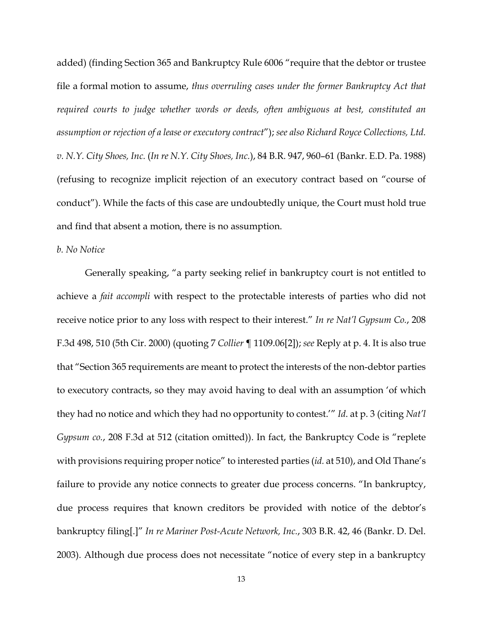added) (finding Section 365 and Bankruptcy Rule 6006 "require that the debtor or trustee file a formal motion to assume, *thus overruling cases under the former Bankruptcy Act that required courts to judge whether words or deeds, often ambiguous at best, constituted an assumption or rejection of a lease or executory contract*"); *see also Richard Royce Collections, Ltd. v. N.Y. City Shoes, Inc.* (*In re N.Y. City Shoes, Inc.*), 84 B.R. 947, 960–61 (Bankr. E.D. Pa. 1988) (refusing to recognize implicit rejection of an executory contract based on "course of conduct"). While the facts of this case are undoubtedly unique, the Court must hold true and find that absent a motion, there is no assumption.

#### *b. No Notice*

Generally speaking, "a party seeking relief in bankruptcy court is not entitled to achieve a *fait accompli* with respect to the protectable interests of parties who did not receive notice prior to any loss with respect to their interest." *In re Nat'l Gypsum Co.*, 208 F.3d 498, 510 (5th Cir. 2000) (quoting 7 *Collier* ¶ 1109.06[2]); *see* Reply at p. 4. It is also true that "Section 365 requirements are meant to protect the interests of the non-debtor parties to executory contracts, so they may avoid having to deal with an assumption 'of which they had no notice and which they had no opportunity to contest.'" *Id*. at p. 3 (citing *Nat'l Gypsum co.*, 208 F.3d at 512 (citation omitted)). In fact, the Bankruptcy Code is "replete with provisions requiring proper notice" to interested parties (*id.* at 510), and Old Thane's failure to provide any notice connects to greater due process concerns. "In bankruptcy, due process requires that known creditors be provided with notice of the debtor's bankruptcy filing[.]" *In re Mariner Post-Acute Network, Inc.*, 303 B.R. 42, 46 (Bankr. D. Del. 2003). Although due process does not necessitate "notice of every step in a bankruptcy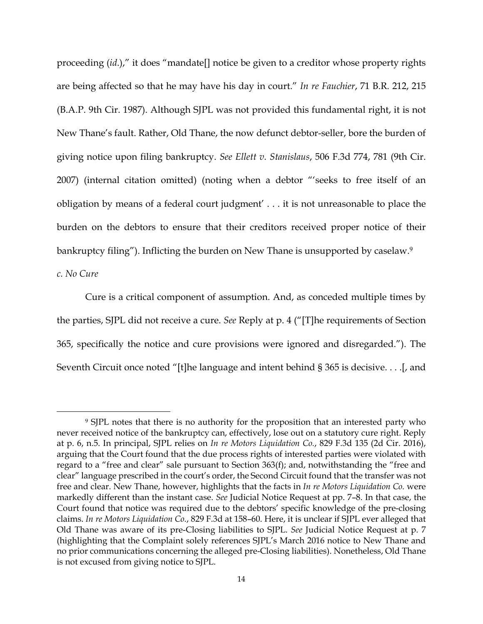proceeding (*id*.)," it does "mandate[] notice be given to a creditor whose property rights are being affected so that he may have his day in court." *In re Fauchier*, 71 B.R. 212, 215 (B.A.P. 9th Cir. 1987). Although SJPL was not provided this fundamental right, it is not New Thane's fault. Rather, Old Thane, the now defunct debtor-seller, bore the burden of giving notice upon filing bankruptcy. *See Ellett v. Stanislaus*, 506 F.3d 774, 781 (9th Cir. 2007) (internal citation omitted) (noting when a debtor "'seeks to free itself of an obligation by means of a federal court judgment' . . . it is not unreasonable to place the burden on the debtors to ensure that their creditors received proper notice of their bankruptcy filing"). Inflicting the burden on New Thane is unsupported by caselaw.<sup>9</sup>

*c. No Cure* 

Cure is a critical component of assumption. And, as conceded multiple times by the parties, SJPL did not receive a cure. *See* Reply at p. 4 ("[T]he requirements of Section 365, specifically the notice and cure provisions were ignored and disregarded."). The Seventh Circuit once noted "[t]he language and intent behind § 365 is decisive. . . .[, and

 <sup>9</sup> SJPL notes that there is no authority for the proposition that an interested party who never received notice of the bankruptcy can, effectively, lose out on a statutory cure right. Reply at p. 6, n.5. In principal, SJPL relies on *In re Motors Liquidation Co.*, 829 F.3d 135 (2d Cir. 2016), arguing that the Court found that the due process rights of interested parties were violated with regard to a "free and clear" sale pursuant to Section 363(f); and, notwithstanding the "free and clear" language prescribed in the court's order, the Second Circuit found that the transfer was not free and clear. New Thane, however, highlights that the facts in *In re Motors Liquidation Co.* were markedly different than the instant case. *See* Judicial Notice Request at pp. 7–8. In that case, the Court found that notice was required due to the debtors' specific knowledge of the pre-closing claims. *In re Motors Liquidation Co.*, 829 F.3d at 158–60. Here, it is unclear if SJPL ever alleged that Old Thane was aware of its pre-Closing liabilities to SJPL. *See* Judicial Notice Request at p. 7 (highlighting that the Complaint solely references SJPL's March 2016 notice to New Thane and no prior communications concerning the alleged pre-Closing liabilities). Nonetheless, Old Thane is not excused from giving notice to SJPL.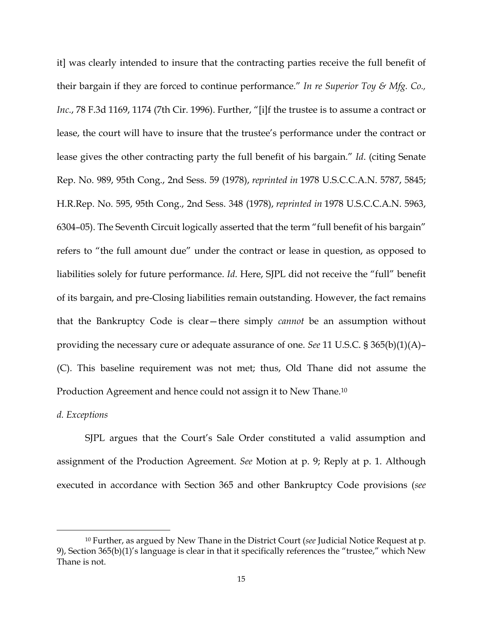it] was clearly intended to insure that the contracting parties receive the full benefit of their bargain if they are forced to continue performance." *In re Superior Toy & Mfg. Co., Inc.*, 78 F.3d 1169, 1174 (7th Cir. 1996). Further, "[i]f the trustee is to assume a contract or lease, the court will have to insure that the trustee's performance under the contract or lease gives the other contracting party the full benefit of his bargain." *Id*. (citing Senate Rep. No. 989, 95th Cong., 2nd Sess. 59 (1978), *reprinted in* 1978 U.S.C.C.A.N. 5787, 5845; H.R.Rep. No. 595, 95th Cong., 2nd Sess. 348 (1978), *reprinted in* 1978 U.S.C.C.A.N. 5963, 6304–05). The Seventh Circuit logically asserted that the term "full benefit of his bargain" refers to "the full amount due" under the contract or lease in question, as opposed to liabilities solely for future performance. *Id*. Here, SJPL did not receive the "full" benefit of its bargain, and pre-Closing liabilities remain outstanding. However, the fact remains that the Bankruptcy Code is clear—there simply *cannot* be an assumption without providing the necessary cure or adequate assurance of one. *See* 11 U.S.C. § 365(b)(1)(A)– (C). This baseline requirement was not met; thus, Old Thane did not assume the Production Agreement and hence could not assign it to New Thane.10

### *d. Exceptions*

SJPL argues that the Court's Sale Order constituted a valid assumption and assignment of the Production Agreement. *See* Motion at p. 9; Reply at p. 1. Although executed in accordance with Section 365 and other Bankruptcy Code provisions (*see*

 <sup>10</sup> Further, as argued by New Thane in the District Court (*see* Judicial Notice Request at p. 9), Section 365(b)(1)'s language is clear in that it specifically references the "trustee," which New Thane is not.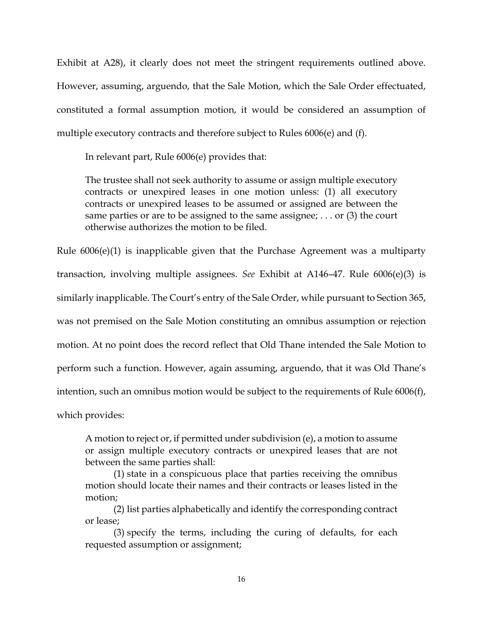Exhibit at A28), it clearly does not meet the stringent requirements outlined above. However, assuming, arguendo, that the Sale Motion, which the Sale Order effectuated, constituted a formal assumption motion, it would be considered an assumption of multiple executory contracts and therefore subject to Rules 6006(e) and (f).

In relevant part, Rule 6006(e) provides that:

The trustee shall not seek authority to assume or assign multiple executory contracts or unexpired leases in one motion unless: (1) all executory contracts or unexpired leases to be assumed or assigned are between the same parties or are to be assigned to the same assignee; . . . or (3) the court otherwise authorizes the motion to be filed.

Rule 6006(e)(1) is inapplicable given that the Purchase Agreement was a multiparty transaction, involving multiple assignees. *See* Exhibit at A146–47. Rule 6006(e)(3) is similarly inapplicable. The Court's entry of the Sale Order, while pursuant to Section 365, was not premised on the Sale Motion constituting an omnibus assumption or rejection motion. At no point does the record reflect that Old Thane intended the Sale Motion to perform such a function. However, again assuming, arguendo, that it was Old Thane's intention, such an omnibus motion would be subject to the requirements of Rule 6006(f), which provides:

A motion to reject or, if permitted under subdivision (e), a motion to assume or assign multiple executory contracts or unexpired leases that are not between the same parties shall:

(1) state in a conspicuous place that parties receiving the omnibus motion should locate their names and their contracts or leases listed in the motion;

(2) list parties alphabetically and identify the corresponding contract or lease;

(3) specify the terms, including the curing of defaults, for each requested assumption or assignment;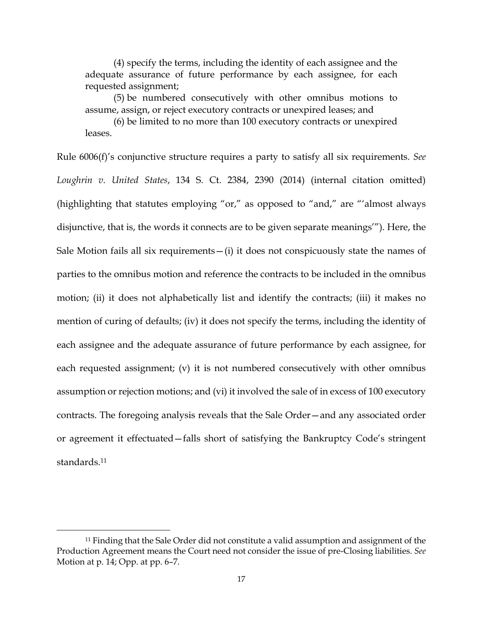(4) specify the terms, including the identity of each assignee and the adequate assurance of future performance by each assignee, for each requested assignment;

(5) be numbered consecutively with other omnibus motions to assume, assign, or reject executory contracts or unexpired leases; and

(6) be limited to no more than 100 executory contracts or unexpired leases.

Rule 6006(f)'s conjunctive structure requires a party to satisfy all six requirements. *See Loughrin v. United States*, 134 S. Ct. 2384, 2390 (2014) (internal citation omitted) (highlighting that statutes employing "or," as opposed to "and," are "'almost always disjunctive, that is, the words it connects are to be given separate meanings'"). Here, the Sale Motion fails all six requirements  $-(i)$  it does not conspicuously state the names of parties to the omnibus motion and reference the contracts to be included in the omnibus motion; (ii) it does not alphabetically list and identify the contracts; (iii) it makes no mention of curing of defaults; (iv) it does not specify the terms, including the identity of each assignee and the adequate assurance of future performance by each assignee, for each requested assignment; (v) it is not numbered consecutively with other omnibus assumption or rejection motions; and (vi) it involved the sale of in excess of 100 executory contracts. The foregoing analysis reveals that the Sale Order—and any associated order or agreement it effectuated—falls short of satisfying the Bankruptcy Code's stringent standards<sup>11</sup>

 <sup>11</sup> Finding that the Sale Order did not constitute a valid assumption and assignment of the Production Agreement means the Court need not consider the issue of pre-Closing liabilities. *See*  Motion at p. 14; Opp. at pp. 6–7.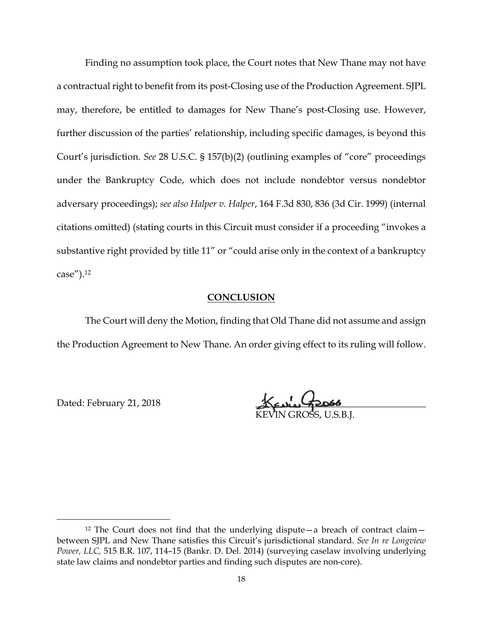Finding no assumption took place, the Court notes that New Thane may not have a contractual right to benefit from its post-Closing use of the Production Agreement. SJPL may, therefore, be entitled to damages for New Thane's post-Closing use. However, further discussion of the parties' relationship, including specific damages, is beyond this Court's jurisdiction. *See* 28 U.S.C. § 157(b)(2) (outlining examples of "core" proceedings under the Bankruptcy Code, which does not include nondebtor versus nondebtor adversary proceedings); *see also Halper v. Halper*, 164 F.3d 830, 836 (3d Cir. 1999) (internal citations omitted) (stating courts in this Circuit must consider if a proceeding "invokes a substantive right provided by title 11" or "could arise only in the context of a bankruptcy case").12

### **CONCLUSION**

The Court will deny the Motion, finding that Old Thane did not assume and assign the Production Agreement to New Thane. An order giving effect to its ruling will follow.

Dated: February 21, 2018

KEVIN GROŠS, U.S.B.J.

 <sup>12</sup> The Court does not find that the underlying dispute—a breach of contract claim between SJPL and New Thane satisfies this Circuit's jurisdictional standard. *See In re Longview Power, LLC,* 515 B.R. 107, 114–15 (Bankr. D. Del. 2014) (surveying caselaw involving underlying state law claims and nondebtor parties and finding such disputes are non-core).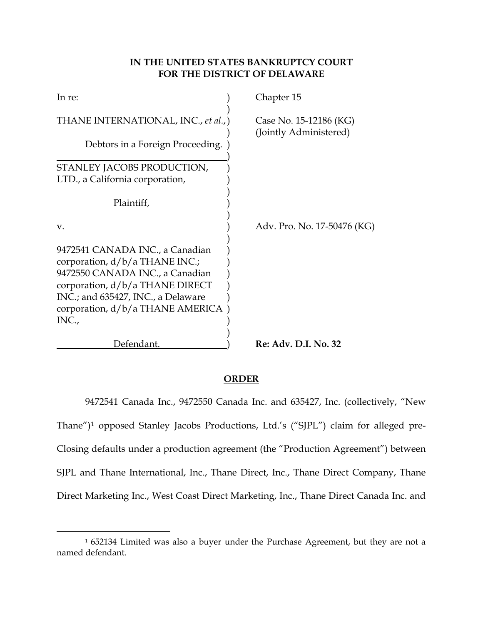# **IN THE UNITED STATES BANKRUPTCY COURT FOR THE DISTRICT OF DELAWARE**

| In re:                                                                                                                                                                                                                       | Chapter 15                                       |
|------------------------------------------------------------------------------------------------------------------------------------------------------------------------------------------------------------------------------|--------------------------------------------------|
| THANE INTERNATIONAL, INC., et al.,)                                                                                                                                                                                          | Case No. 15-12186 (KG)<br>(Jointly Administered) |
| Debtors in a Foreign Proceeding.                                                                                                                                                                                             |                                                  |
| STANLEY JACOBS PRODUCTION,                                                                                                                                                                                                   |                                                  |
| LTD., a California corporation,                                                                                                                                                                                              |                                                  |
| Plaintiff,                                                                                                                                                                                                                   |                                                  |
| V.                                                                                                                                                                                                                           | Adv. Pro. No. 17-50476 (KG)                      |
| 9472541 CANADA INC., a Canadian<br>corporation, d/b/a THANE INC.;<br>9472550 CANADA INC., a Canadian<br>corporation, $d/b/a$ THANE DIRECT<br>INC.; and 635427, INC., a Delaware<br>corporation, d/b/a THANE AMERICA<br>INC., |                                                  |
| Defendant.                                                                                                                                                                                                                   | Re: Adv. D.I. No. 32                             |

# **ORDER**

9472541 Canada Inc., 9472550 Canada Inc. and 635427, Inc. (collectively, "New Thane")1 opposed Stanley Jacobs Productions, Ltd.'s ("SJPL") claim for alleged pre-Closing defaults under a production agreement (the "Production Agreement") between SJPL and Thane International, Inc., Thane Direct, Inc., Thane Direct Company, Thane Direct Marketing Inc., West Coast Direct Marketing, Inc., Thane Direct Canada Inc. and

 <sup>1</sup> 652134 Limited was also a buyer under the Purchase Agreement, but they are not a named defendant.